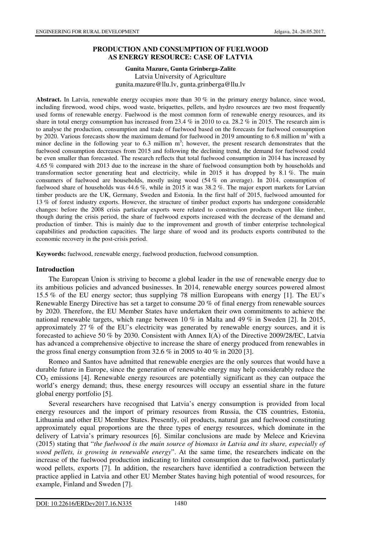### **PRODUCTION AND CONSUMPTION OF FUELWOOD AS ENERGY RESOURCE: CASE OF LATVIA**

### **Gunita Mazure, Gunta Grinberga-Zalite**  Latvia University of Agriculture gunita.mazure@llu.lv, gunta.grinberga@llu.lv

Abstract. In Latvia, renewable energy occupies more than 30 % in the primary energy balance, since wood, including firewood, wood chips, wood waste, briquettes, pellets, and hydro resources are two most frequently used forms of renewable energy. Fuelwood is the most common form of renewable energy resources, and its share in total energy consumption has increased from 23.4 % in 2010 to ca. 28.2 % in 2015. The research aim is to analyse the production, consumption and trade of fuelwood based on the forecasts for fuelwood consumption by 2020. Various forecasts show the maximum demand for fuelwood in 2019 amounting to 6.8 million  $m<sup>3</sup>$  with a minor decline in the following year to  $6.3$  million  $m^3$ ; however, the present research demonstrates that the fuelwood consumption decreases from 2015 and following the declining trend, the demand for fuelwood could be even smaller than forecasted. The research reflects that total fuelwood consumption in 2014 has increased by 4.65 % compared with 2013 due to the increase in the share of fuelwood consumption both by households and transformation sector generating heat and electricity, while in 2015 it has dropped by 8.1 %. The main consumers of fuelwood are households, mostly using wood (54 % on average). In 2014, consumption of fuelwood share of households was 44.6 %, while in 2015 it was 38.2 %. The major export markets for Latvian timber products are the UK, Germany, Sweden and Estonia. In the first half of 2015, fuelwood amounted for 13 % of forest industry exports. However, the structure of timber product exports has undergone considerable changes: before the 2008 crisis particular exports were related to construction products export like timber, though during the crisis period, the share of fuelwood exports increased with the decrease of the demand and production of timber. This is mainly due to the improvement and growth of timber enterprise technological capabilities and production capacities. The large share of wood and its products exports contributed to the economic recovery in the post-crisis period.

**Keywords:** fuelwood, renewable energy, fuelwood production, fuelwood consumption.

#### **Introduction**

The European Union is striving to become a global leader in the use of renewable energy due to its ambitious policies and advanced businesses. In 2014, renewable energy sources powered almost 15.5 % of the EU energy sector; thus supplying 78 million Europeans with energy [1]. The EU's Renewable Energy Directive has set a target to consume 20 % of final energy from renewable sources by 2020. Therefore, the EU Member States have undertaken their own commitments to achieve the national renewable targets, which range between 10 % in Malta and 49 % in Sweden [2]. In 2015, approximately 27 % of the EU's electricity was generated by renewable energy sources, and it is forecasted to achieve 50 % by 2030. Consistent with Annex I(A) of the Directive 2009/28/EC, Latvia has advanced a comprehensive objective to increase the share of energy produced from renewables in the gross final energy consumption from 32.6  $\%$  in 2005 to 40  $\%$  in 2020 [3].

Romeo and Santos have admitted that renewable energies are the only sources that would have a durable future in Europe, since the generation of renewable energy may help considerably reduce the CO2 emissions [4]. Renewable energy resources are potentially significant as they can outpace the world's energy demand; thus, these energy resources will occupy an essential share in the future global energy portfolio [5].

Several researchers have recognised that Latvia's energy consumption is provided from local energy resources and the import of primary resources from Russia, the CIS countries, Estonia, Lithuania and other EU Member States. Presently, oil products, natural gas and fuelwood constituting approximately equal proportions are the three types of energy resources, which dominate in the delivery of Latvia's primary resources [6]. Similar conclusions are made by Melece and Krievina (2015) stating that "*the fuelwood is the main source of biomass in Latvia and its share, especially of wood pellets, is growing in renewable energy*". At the same time, the researchers indicate on the increase of the fuelwood production indicating to limited consumption due to fuelwood, particularly wood pellets, exports [7]. In addition, the researchers have identified a contradiction between the practice applied in Latvia and other EU Member States having high potential of wood resources, for example, Finland and Sweden [7].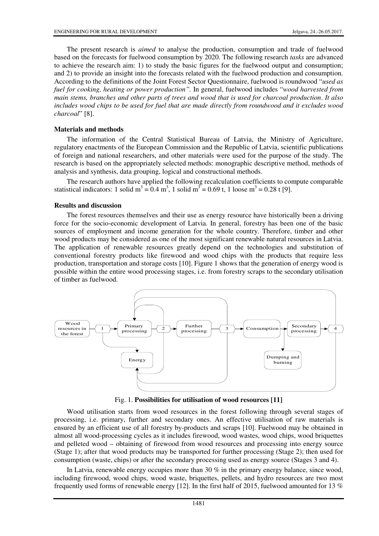The present research is *aimed* to analyse the production, consumption and trade of fuelwood based on the forecasts for fuelwood consumption by 2020. The following research *tasks* are advanced to achieve the research aim: 1) to study the basic figures for the fuelwood output and consumption; and 2) to provide an insight into the forecasts related with the fuelwood production and consumption. According to the definitions of the Joint Forest Sector Questionnaire, fuelwood is roundwood "*used as fuel for cooking, heating or power production".* In general, fuelwood includes "*wood harvested from main stems, branches and other parts of trees and wood that is used for charcoal production*. *It also includes wood chips to be used for fuel that are made directly from roundwood and it excludes wood charcoal*" [8].

#### **Materials and methods**

The information of the Central Statistical Bureau of Latvia, the Ministry of Agriculture, regulatory enactments of the European Commission and the Republic of Latvia, scientific publications of foreign and national researchers, and other materials were used for the purpose of the study. The research is based on the appropriately selected methods: monographic descriptive method, methods of analysis and synthesis, data grouping, logical and constructional methods.

The research authors have applied the following recalculation coefficients to compute comparable statistical indicators: 1 solid m<sup>3</sup> =  $0.4$  m<sup>3</sup>, 1 solid m<sup>3</sup> = 0.69 t, 1 loose m<sup>3</sup> = 0.28 t [9].

### **Results and discussion**

The forest resources themselves and their use as energy resource have historically been a driving force for the socio-economic development of Latvia. In general, forestry has been one of the basic sources of employment and income generation for the whole country. Therefore, timber and other wood products may be considered as one of the most significant renewable natural resources in Latvia. The application of renewable resources greatly depend on the technologies and substitution of conventional forestry products like firewood and wood chips with the products that require less production, transportation and storage costs [10]. Figure 1 shows that the generation of energy wood is possible within the entire wood processing stages, i.e. from forestry scraps to the secondary utilisation of timber as fuelwood.



Fig. 1. **Possibilities for utilisation of wood resources [11]**

Wood utilisation starts from wood resources in the forest following through several stages of processing, i.e. primary, further and secondary ones. An effective utilisation of raw materials is ensured by an efficient use of all forestry by-products and scraps [10]. Fuelwood may be obtained in almost all wood-processing cycles as it includes firewood, wood wastes, wood chips, wood briquettes and pelleted wood – obtaining of firewood from wood resources and processing into energy source (Stage 1); after that wood products may be transported for further processing (Stage 2); then used for consumption (waste, chips) or after the secondary processing used as energy source (Stages 3 and 4).

In Latvia, renewable energy occupies more than 30 % in the primary energy balance, since wood, including firewood, wood chips, wood waste, briquettes, pellets, and hydro resources are two most frequently used forms of renewable energy [12]. In the first half of 2015, fuelwood amounted for 13 %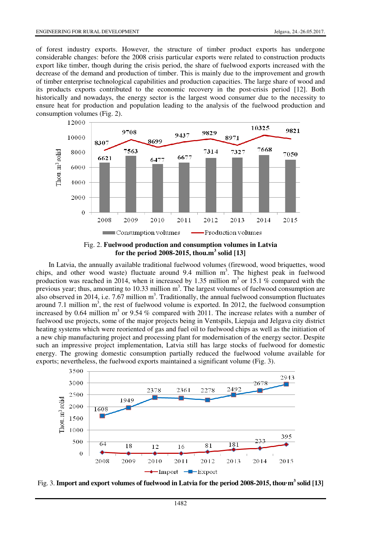of forest industry exports. However, the structure of timber product exports has undergone considerable changes: before the 2008 crisis particular exports were related to construction products export like timber, though during the crisis period, the share of fuelwood exports increased with the decrease of the demand and production of timber. This is mainly due to the improvement and growth of timber enterprise technological capabilities and production capacities. The large share of wood and its products exports contributed to the economic recovery in the post-crisis period [12]. Both historically and nowadays, the energy sector is the largest wood consumer due to the necessity to ensure heat for production and population leading to the analysis of the fuelwood production and consumption volumes (Fig. 2).



Fig. 2. **Fuelwood production and consumption volumes in Latvia for the period 2008-2015, thou.m<sup>3</sup> solid [13]** 

In Latvia, the annually available traditional fuelwood volumes (firewood, wood briquettes, wood chips, and other wood waste) fluctuate around 9.4 million  $m<sup>3</sup>$ . The highest peak in fuelwood production was reached in 2014, when it increased by 1.35 million  $m<sup>3</sup>$  or 15.1 % compared with the previous year; thus, amounting to 10.33 million  $m<sup>3</sup>$ . The largest volumes of fuelwood consumption are also observed in 2014, i.e. 7.67 million  $m^3$ . Traditionally, the annual fuelwood consumption fluctuates around 7.1 million  $m<sup>3</sup>$ , the rest of fuelwood volume is exported. In 2012, the fuelwood consumption increased by 0.64 million  $m<sup>3</sup>$  or 9.54 % compared with 2011. The increase relates with a number of fuelwood use projects, some of the major projects being in Ventspils, Liepaja and Jelgava city district heating systems which were reoriented of gas and fuel oil to fuelwood chips as well as the initiation of a new chip manufacturing project and processing plant for modernisation of the energy sector. Despite such an impressive project implementation, Latvia still has large stocks of fuelwood for domestic energy. The growing domestic consumption partially reduced the fuelwood volume available for exports; nevertheless, the fuelwood exports maintained a significant volume (Fig. 3).



Fig. 3. **Import and export volumes of fuelwood in Latvia for the period 2008-2015, thou·m<sup>3</sup> solid [13]**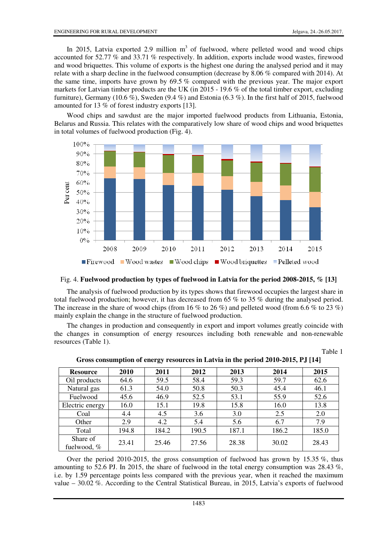Table 1

In 2015, Latvia exported 2.9 million  $m<sup>3</sup>$  of fuelwood, where pelleted wood and wood chips accounted for 52.77 % and 33.71 % respectively. In addition, exports include wood wastes, firewood and wood briquettes. This volume of exports is the highest one during the analysed period and it may relate with a sharp decline in the fuelwood consumption (decrease by 8.06 % compared with 2014). At the same time, imports have grown by 69.5 % compared with the previous year. The major export markets for Latvian timber products are the UK (in 2015 - 19.6 % of the total timber export, excluding furniture), Germany (10.6 %), Sweden (9.4 %) and Estonia (6.3 %). In the first half of 2015, fuelwood amounted for 13 % of forest industry exports [13].

Wood chips and sawdust are the major imported fuelwood products from Lithuania, Estonia, Belarus and Russia. This relates with the comparatively low share of wood chips and wood briquettes in total volumes of fuelwood production (Fig. 4).



### Fig. 4. **Fuelwood production by types of fuelwood in Latvia for the period 2008-2015, % [13]**

The analysis of fuelwood production by its types shows that firewood occupies the largest share in total fuelwood production; however, it has decreased from 65 % to 35 % during the analysed period. The increase in the share of wood chips (from 16 % to 26 %) and pelleted wood (from 6.6 % to 23 %) mainly explain the change in the structure of fuelwood production.

The changes in production and consequently in export and import volumes greatly coincide with the changes in consumption of energy resources including both renewable and non-renewable resources (Table 1).

| <b>Resource</b>           | 2010  | 2011  | 2012  | 2013  | 2014  | 2015  |
|---------------------------|-------|-------|-------|-------|-------|-------|
| Oil products              | 64.6  | 59.5  | 58.4  | 59.3  | 59.7  | 62.6  |
| Natural gas               | 61.3  | 54.0  | 50.8  | 50.3  | 45.4  | 46.1  |
| Fuelwood                  | 45.6  | 46.9  | 52.5  | 53.1  | 55.9  | 52.6  |
| Electric energy           | 16.0  | 15.1  | 19.8  | 15.8  | 16.0  | 13.8  |
| Coal                      | 4.4   | 4.5   | 3.6   | 3.0   | 2.5   | 2.0   |
| Other                     | 2.9   | 4.2   | 5.4   | 5.6   | 6.7   | 7.9   |
| Total                     | 194.8 | 184.2 | 190.5 | 187.1 | 186.2 | 185.0 |
| Share of<br>fuelwood, $%$ | 23.41 | 25.46 | 27.56 | 28.38 | 30.02 | 28.43 |

**Gross consumption of energy resources in Latvia in the period 2010-2015, PJ [14]** 

Over the period 2010-2015, the gross consumption of fuelwood has grown by 15.35  $\%$ , thus amounting to 52.6 PJ. In 2015, the share of fuelwood in the total energy consumption was 28.43  $\%$ , i.e. by 1.59 percentage points less compared with the previous year, when it reached the maximum value – 30.02 %. According to the Central Statistical Bureau, in 2015, Latvia's exports of fuelwood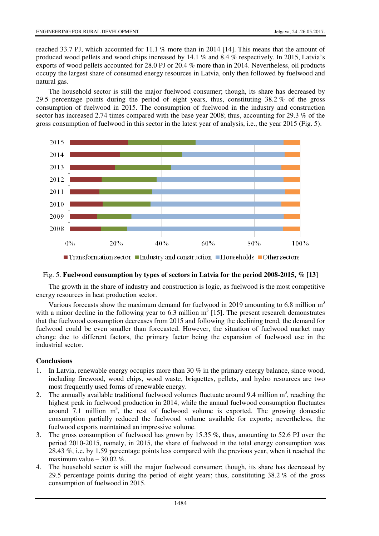reached 33.7 PJ, which accounted for 11.1 % more than in 2014 [14]. This means that the amount of produced wood pellets and wood chips increased by 14.1 % and 8.4 % respectively. In 2015, Latvia's exports of wood pellets accounted for 28.0 PJ or 20.4 % more than in 2014. Nevertheless, oil products occupy the largest share of consumed energy resources in Latvia, only then followed by fuelwood and natural gas.

The household sector is still the major fuelwood consumer; though, its share has decreased by 29.5 percentage points during the period of eight years, thus, constituting 38.2 % of the gross consumption of fuelwood in 2015. The consumption of fuelwood in the industry and construction sector has increased 2.74 times compared with the base year 2008; thus, accounting for 29.3 % of the gross consumption of fuelwood in this sector in the latest year of analysis, i.e., the year 2015 (Fig. 5).



 $\blacksquare$  Transformation sector  $\blacksquare$  Industry and construction  $\blacksquare$  Households  $\blacksquare$  Other sectors

## Fig. 5. **Fuelwood consumption by types of sectors in Latvia for the period 2008-2015, % [13]**

The growth in the share of industry and construction is logic, as fuelwood is the most competitive energy resources in heat production sector.

Various forecasts show the maximum demand for fuelwood in 2019 amounting to 6.8 million  $m<sup>3</sup>$ with a minor decline in the following year to 6.3 million  $m^3$  [15]. The present research demonstrates that the fuelwood consumption decreases from 2015 and following the declining trend, the demand for fuelwood could be even smaller than forecasted. However, the situation of fuelwood market may change due to different factors, the primary factor being the expansion of fuelwood use in the industrial sector.

## **Conclusions**

- 1. In Latvia, renewable energy occupies more than 30 % in the primary energy balance, since wood, including firewood, wood chips, wood waste, briquettes, pellets, and hydro resources are two most frequently used forms of renewable energy.
- 2. The annually available traditional fuelwood volumes fluctuate around 9.4 million  $m^3$ , reaching the highest peak in fuelwood production in 2014, while the annual fuelwood consumption fluctuates around  $7.1$  million  $m<sup>3</sup>$ , the rest of fuelwood volume is exported. The growing domestic consumption partially reduced the fuelwood volume available for exports; nevertheless, the fuelwood exports maintained an impressive volume.
- 3. The gross consumption of fuelwood has grown by 15.35 %, thus, amounting to 52.6 PJ over the period 2010-2015, namely, in 2015, the share of fuelwood in the total energy consumption was 28.43 %, i.e. by 1.59 percentage points less compared with the previous year, when it reached the maximum value  $-30.02\%$ .
- 4. The household sector is still the major fuelwood consumer; though, its share has decreased by 29.5 percentage points during the period of eight years; thus, constituting 38.2 % of the gross consumption of fuelwood in 2015.